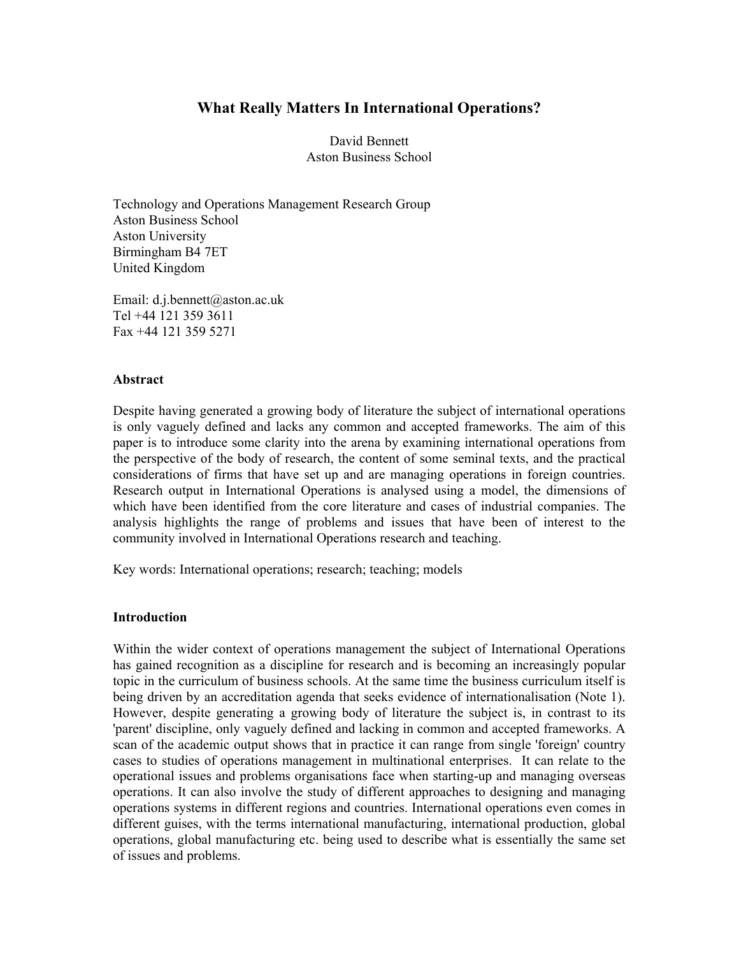# **What Really Matters In International Operations?**

David Bennett Aston Business School

Technology and Operations Management Research Group Aston Business School Aston University Birmingham B4 7ET United Kingdom

Email: d.j.bennett@aston.ac.uk Tel +44 121 359 3611 Fax +44 121 359 5271

#### **Abstract**

Despite having generated a growing body of literature the subject of international operations is only vaguely defined and lacks any common and accepted frameworks. The aim of this paper is to introduce some clarity into the arena by examining international operations from the perspective of the body of research, the content of some seminal texts, and the practical considerations of firms that have set up and are managing operations in foreign countries. Research output in International Operations is analysed using a model, the dimensions of which have been identified from the core literature and cases of industrial companies. The analysis highlights the range of problems and issues that have been of interest to the community involved in International Operations research and teaching.

Key words: International operations; research; teaching; models

#### **Introduction**

Within the wider context of operations management the subject of International Operations has gained recognition as a discipline for research and is becoming an increasingly popular topic in the curriculum of business schools. At the same time the business curriculum itself is being driven by an accreditation agenda that seeks evidence of internationalisation (Note 1). However, despite generating a growing body of literature the subject is, in contrast to its 'parent' discipline, only vaguely defined and lacking in common and accepted frameworks. A scan of the academic output shows that in practice it can range from single 'foreign' country cases to studies of operations management in multinational enterprises. It can relate to the operational issues and problems organisations face when starting-up and managing overseas operations. It can also involve the study of different approaches to designing and managing operations systems in different regions and countries. International operations even comes in different guises, with the terms international manufacturing, international production, global operations, global manufacturing etc. being used to describe what is essentially the same set of issues and problems.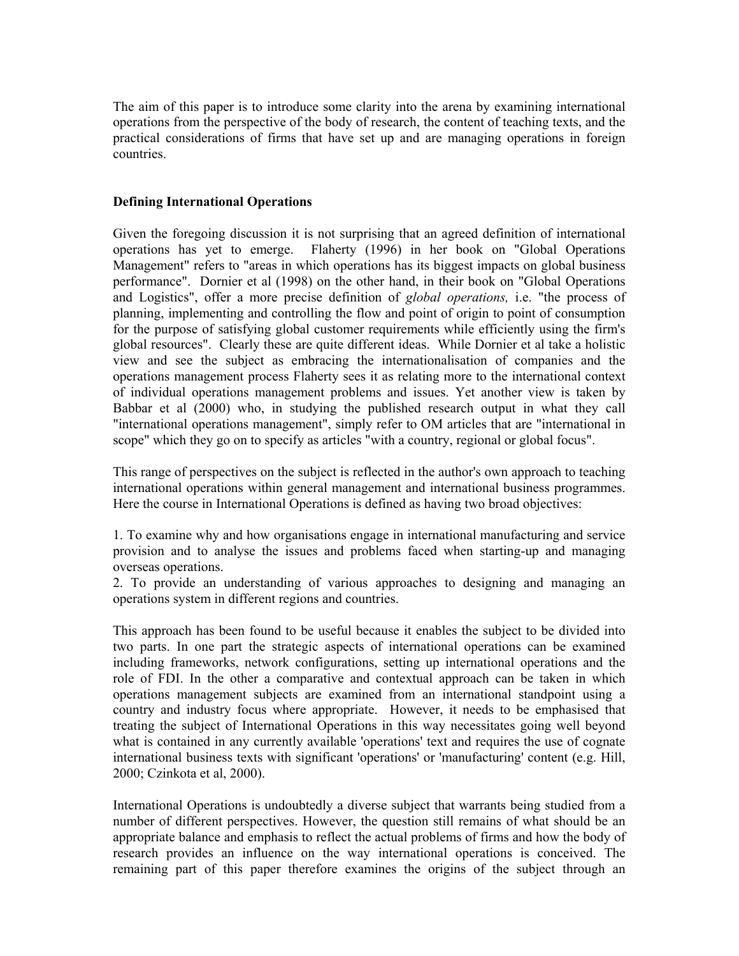The aim of this paper is to introduce some clarity into the arena by examining international operations from the perspective of the body of research, the content of teaching texts, and the practical considerations of firms that have set up and are managing operations in foreign countries.

### **Defining International Operations**

Given the foregoing discussion it is not surprising that an agreed definition of international operations has yet to emerge. Flaherty (1996) in her book on "Global Operations Management" refers to "areas in which operations has its biggest impacts on global business performance". Dornier et al (1998) on the other hand, in their book on "Global Operations and Logistics", offer a more precise definition of *global operations,* i.e. "the process of planning, implementing and controlling the flow and point of origin to point of consumption for the purpose of satisfying global customer requirements while efficiently using the firm's global resources". Clearly these are quite different ideas. While Dornier et al take a holistic view and see the subject as embracing the internationalisation of companies and the operations management process Flaherty sees it as relating more to the international context of individual operations management problems and issues. Yet another view is taken by Babbar et al (2000) who, in studying the published research output in what they call "international operations management", simply refer to OM articles that are "international in scope" which they go on to specify as articles "with a country, regional or global focus".

This range of perspectives on the subject is reflected in the author's own approach to teaching international operations within general management and international business programmes. Here the course in International Operations is defined as having two broad objectives:

1. To examine why and how organisations engage in international manufacturing and service provision and to analyse the issues and problems faced when starting-up and managing overseas operations.

2. To provide an understanding of various approaches to designing and managing an operations system in different regions and countries.

This approach has been found to be useful because it enables the subject to be divided into two parts. In one part the strategic aspects of international operations can be examined including frameworks, network configurations, setting up international operations and the role of FDI. In the other a comparative and contextual approach can be taken in which operations management subjects are examined from an international standpoint using a country and industry focus where appropriate. However, it needs to be emphasised that treating the subject of International Operations in this way necessitates going well beyond what is contained in any currently available 'operations' text and requires the use of cognate international business texts with significant 'operations' or 'manufacturing' content (e.g. Hill, 2000; Czinkota et al, 2000).

International Operations is undoubtedly a diverse subject that warrants being studied from a number of different perspectives. However, the question still remains of what should be an appropriate balance and emphasis to reflect the actual problems of firms and how the body of research provides an influence on the way international operations is conceived. The remaining part of this paper therefore examines the origins of the subject through an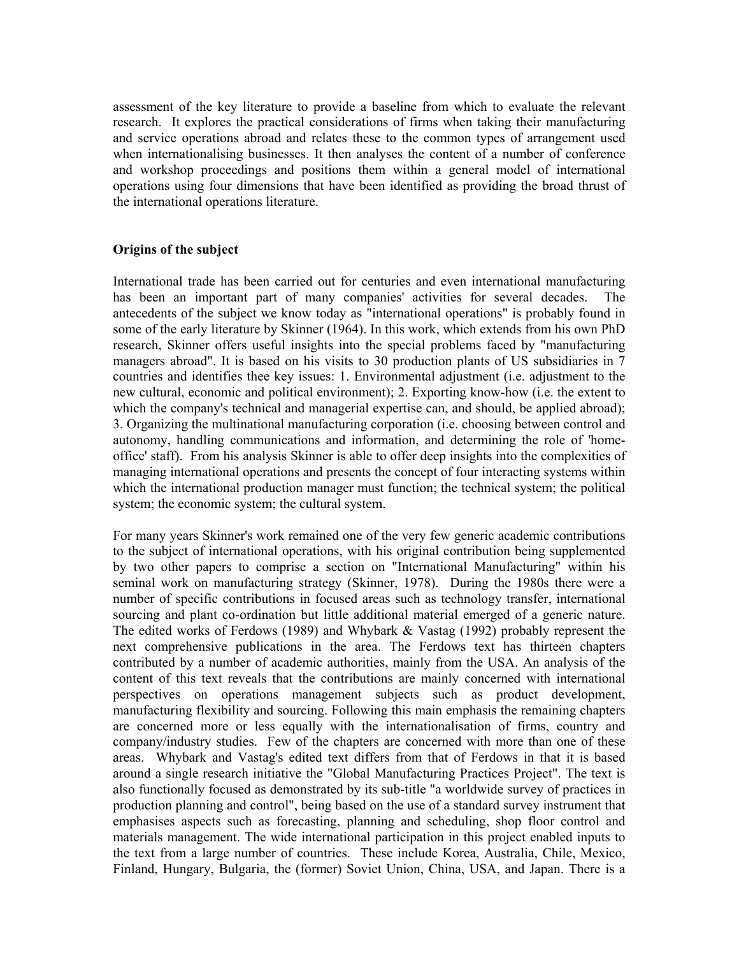assessment of the key literature to provide a baseline from which to evaluate the relevant research. It explores the practical considerations of firms when taking their manufacturing and service operations abroad and relates these to the common types of arrangement used when internationalising businesses. It then analyses the content of a number of conference and workshop proceedings and positions them within a general model of international operations using four dimensions that have been identified as providing the broad thrust of the international operations literature.

## **Origins of the subject**

International trade has been carried out for centuries and even international manufacturing has been an important part of many companies' activities for several decades. The antecedents of the subject we know today as "international operations" is probably found in some of the early literature by Skinner (1964). In this work, which extends from his own PhD research, Skinner offers useful insights into the special problems faced by "manufacturing managers abroad". It is based on his visits to 30 production plants of US subsidiaries in 7 countries and identifies thee key issues: 1. Environmental adjustment (i.e. adjustment to the new cultural, economic and political environment); 2. Exporting know-how (i.e. the extent to which the company's technical and managerial expertise can, and should, be applied abroad); 3. Organizing the multinational manufacturing corporation (i.e. choosing between control and autonomy, handling communications and information, and determining the role of 'homeoffice' staff). From his analysis Skinner is able to offer deep insights into the complexities of managing international operations and presents the concept of four interacting systems within which the international production manager must function; the technical system; the political system; the economic system; the cultural system.

For many years Skinner's work remained one of the very few generic academic contributions to the subject of international operations, with his original contribution being supplemented by two other papers to comprise a section on "International Manufacturing" within his seminal work on manufacturing strategy (Skinner, 1978). During the 1980s there were a number of specific contributions in focused areas such as technology transfer, international sourcing and plant co-ordination but little additional material emerged of a generic nature. The edited works of Ferdows (1989) and Whybark & Vastag (1992) probably represent the next comprehensive publications in the area. The Ferdows text has thirteen chapters contributed by a number of academic authorities, mainly from the USA. An analysis of the content of this text reveals that the contributions are mainly concerned with international perspectives on operations management subjects such as product development, manufacturing flexibility and sourcing. Following this main emphasis the remaining chapters are concerned more or less equally with the internationalisation of firms, country and company/industry studies. Few of the chapters are concerned with more than one of these areas. Whybark and Vastag's edited text differs from that of Ferdows in that it is based around a single research initiative the "Global Manufacturing Practices Project". The text is also functionally focused as demonstrated by its sub-title "a worldwide survey of practices in production planning and control", being based on the use of a standard survey instrument that emphasises aspects such as forecasting, planning and scheduling, shop floor control and materials management. The wide international participation in this project enabled inputs to the text from a large number of countries. These include Korea, Australia, Chile, Mexico, Finland, Hungary, Bulgaria, the (former) Soviet Union, China, USA, and Japan. There is a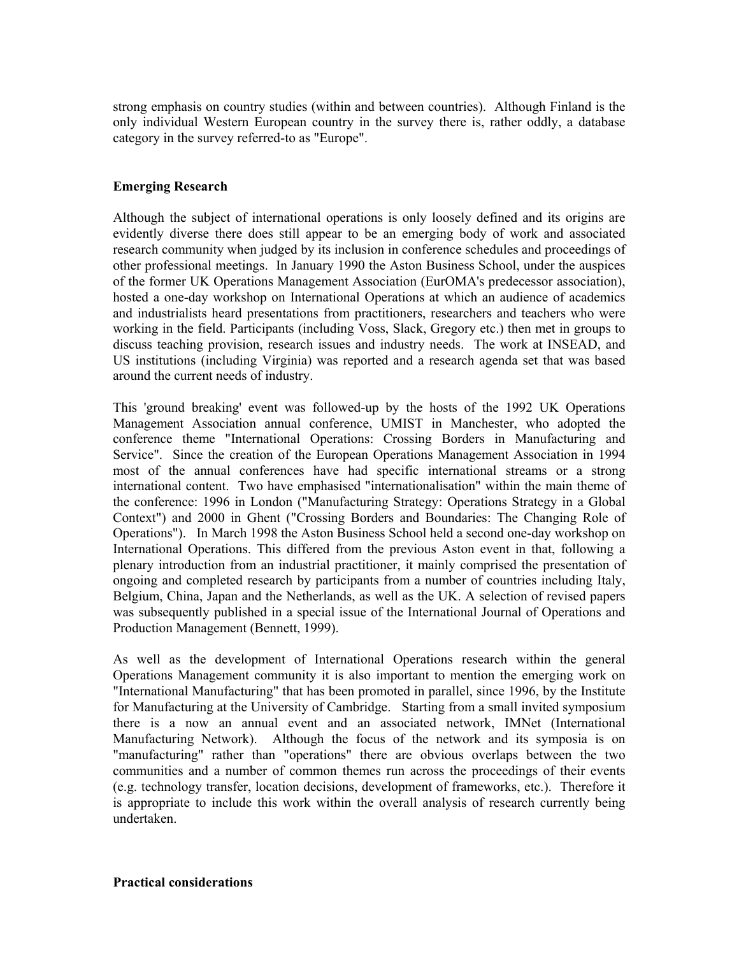strong emphasis on country studies (within and between countries). Although Finland is the only individual Western European country in the survey there is, rather oddly, a database category in the survey referred-to as "Europe".

#### **Emerging Research**

Although the subject of international operations is only loosely defined and its origins are evidently diverse there does still appear to be an emerging body of work and associated research community when judged by its inclusion in conference schedules and proceedings of other professional meetings. In January 1990 the Aston Business School, under the auspices of the former UK Operations Management Association (EurOMA's predecessor association), hosted a one-day workshop on International Operations at which an audience of academics and industrialists heard presentations from practitioners, researchers and teachers who were working in the field. Participants (including Voss, Slack, Gregory etc.) then met in groups to discuss teaching provision, research issues and industry needs. The work at INSEAD, and US institutions (including Virginia) was reported and a research agenda set that was based around the current needs of industry.

This 'ground breaking' event was followed-up by the hosts of the 1992 UK Operations Management Association annual conference, UMIST in Manchester, who adopted the conference theme "International Operations: Crossing Borders in Manufacturing and Service". Since the creation of the European Operations Management Association in 1994 most of the annual conferences have had specific international streams or a strong international content. Two have emphasised "internationalisation" within the main theme of the conference: 1996 in London ("Manufacturing Strategy: Operations Strategy in a Global Context") and 2000 in Ghent ("Crossing Borders and Boundaries: The Changing Role of Operations"). In March 1998 the Aston Business School held a second one-day workshop on International Operations. This differed from the previous Aston event in that, following a plenary introduction from an industrial practitioner, it mainly comprised the presentation of ongoing and completed research by participants from a number of countries including Italy, Belgium, China, Japan and the Netherlands, as well as the UK. A selection of revised papers was subsequently published in a special issue of the International Journal of Operations and Production Management (Bennett, 1999).

As well as the development of International Operations research within the general Operations Management community it is also important to mention the emerging work on "International Manufacturing" that has been promoted in parallel, since 1996, by the Institute for Manufacturing at the University of Cambridge. Starting from a small invited symposium there is a now an annual event and an associated network, IMNet (International Manufacturing Network). Although the focus of the network and its symposia is on "manufacturing" rather than "operations" there are obvious overlaps between the two communities and a number of common themes run across the proceedings of their events (e.g. technology transfer, location decisions, development of frameworks, etc.). Therefore it is appropriate to include this work within the overall analysis of research currently being undertaken.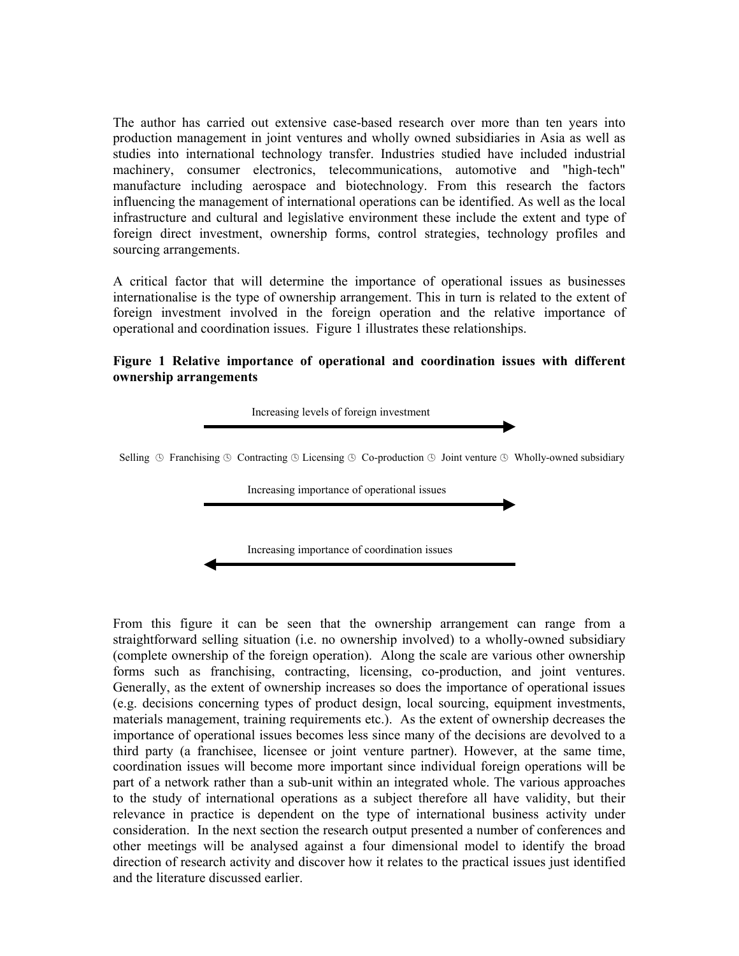The author has carried out extensive case-based research over more than ten years into production management in joint ventures and wholly owned subsidiaries in Asia as well as studies into international technology transfer. Industries studied have included industrial machinery, consumer electronics, telecommunications, automotive and "high-tech" manufacture including aerospace and biotechnology. From this research the factors influencing the management of international operations can be identified. As well as the local infrastructure and cultural and legislative environment these include the extent and type of foreign direct investment, ownership forms, control strategies, technology profiles and sourcing arrangements.

A critical factor that will determine the importance of operational issues as businesses internationalise is the type of ownership arrangement. This in turn is related to the extent of foreign investment involved in the foreign operation and the relative importance of operational and coordination issues. Figure 1 illustrates these relationships.

#### **Figure 1 Relative importance of operational and coordination issues with different ownership arrangements**



From this figure it can be seen that the ownership arrangement can range from a straightforward selling situation (i.e. no ownership involved) to a wholly-owned subsidiary (complete ownership of the foreign operation). Along the scale are various other ownership forms such as franchising, contracting, licensing, co-production, and joint ventures. Generally, as the extent of ownership increases so does the importance of operational issues (e.g. decisions concerning types of product design, local sourcing, equipment investments, materials management, training requirements etc.). As the extent of ownership decreases the importance of operational issues becomes less since many of the decisions are devolved to a third party (a franchisee, licensee or joint venture partner). However, at the same time, coordination issues will become more important since individual foreign operations will be part of a network rather than a sub-unit within an integrated whole. The various approaches to the study of international operations as a subject therefore all have validity, but their relevance in practice is dependent on the type of international business activity under consideration. In the next section the research output presented a number of conferences and other meetings will be analysed against a four dimensional model to identify the broad direction of research activity and discover how it relates to the practical issues just identified and the literature discussed earlier.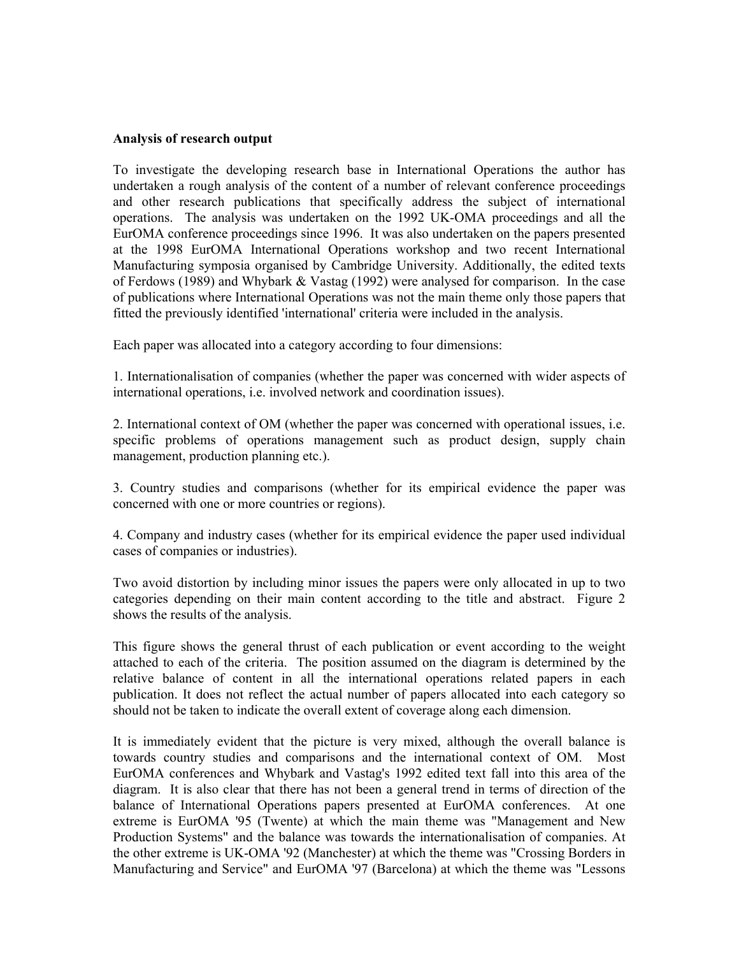#### **Analysis of research output**

To investigate the developing research base in International Operations the author has undertaken a rough analysis of the content of a number of relevant conference proceedings and other research publications that specifically address the subject of international operations. The analysis was undertaken on the 1992 UK-OMA proceedings and all the EurOMA conference proceedings since 1996. It was also undertaken on the papers presented at the 1998 EurOMA International Operations workshop and two recent International Manufacturing symposia organised by Cambridge University. Additionally, the edited texts of Ferdows (1989) and Whybark & Vastag (1992) were analysed for comparison. In the case of publications where International Operations was not the main theme only those papers that fitted the previously identified 'international' criteria were included in the analysis.

Each paper was allocated into a category according to four dimensions:

1. Internationalisation of companies (whether the paper was concerned with wider aspects of international operations, i.e. involved network and coordination issues).

2. International context of OM (whether the paper was concerned with operational issues, i.e. specific problems of operations management such as product design, supply chain management, production planning etc.).

3. Country studies and comparisons (whether for its empirical evidence the paper was concerned with one or more countries or regions).

4. Company and industry cases (whether for its empirical evidence the paper used individual cases of companies or industries).

Two avoid distortion by including minor issues the papers were only allocated in up to two categories depending on their main content according to the title and abstract. Figure 2 shows the results of the analysis.

This figure shows the general thrust of each publication or event according to the weight attached to each of the criteria. The position assumed on the diagram is determined by the relative balance of content in all the international operations related papers in each publication. It does not reflect the actual number of papers allocated into each category so should not be taken to indicate the overall extent of coverage along each dimension.

It is immediately evident that the picture is very mixed, although the overall balance is towards country studies and comparisons and the international context of OM. Most EurOMA conferences and Whybark and Vastag's 1992 edited text fall into this area of the diagram. It is also clear that there has not been a general trend in terms of direction of the balance of International Operations papers presented at EurOMA conferences. At one extreme is EurOMA '95 (Twente) at which the main theme was "Management and New Production Systems" and the balance was towards the internationalisation of companies. At the other extreme is UK-OMA '92 (Manchester) at which the theme was "Crossing Borders in Manufacturing and Service" and EurOMA '97 (Barcelona) at which the theme was "Lessons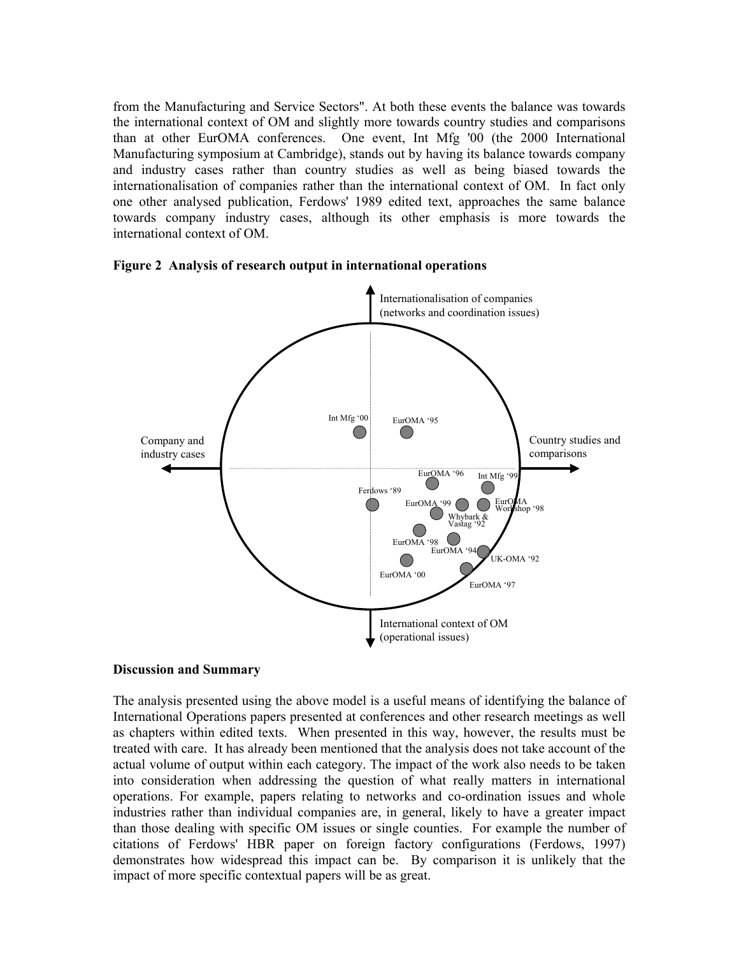from the Manufacturing and Service Sectors". At both these events the balance was towards the international context of OM and slightly more towards country studies and comparisons than at other EurOMA conferences. One event, Int Mfg '00 (the 2000 International Manufacturing symposium at Cambridge), stands out by having its balance towards company and industry cases rather than country studies as well as being biased towards the internationalisation of companies rather than the international context of OM. In fact only one other analysed publication, Ferdows' 1989 edited text, approaches the same balance towards company industry cases, although its other emphasis is more towards the international context of OM.



**Figure 2 Analysis of research output in international operations**

## **Discussion and Summary**

The analysis presented using the above model is a useful means of identifying the balance of International Operations papers presented at conferences and other research meetings as well as chapters within edited texts. When presented in this way, however, the results must be treated with care. It has already been mentioned that the analysis does not take account of the actual volume of output within each category. The impact of the work also needs to be taken into consideration when addressing the question of what really matters in international operations. For example, papers relating to networks and co-ordination issues and whole industries rather than individual companies are, in general, likely to have a greater impact than those dealing with specific OM issues or single counties. For example the number of citations of Ferdows' HBR paper on foreign factory configurations (Ferdows, 1997) demonstrates how widespread this impact can be. By comparison it is unlikely that the impact of more specific contextual papers will be as great.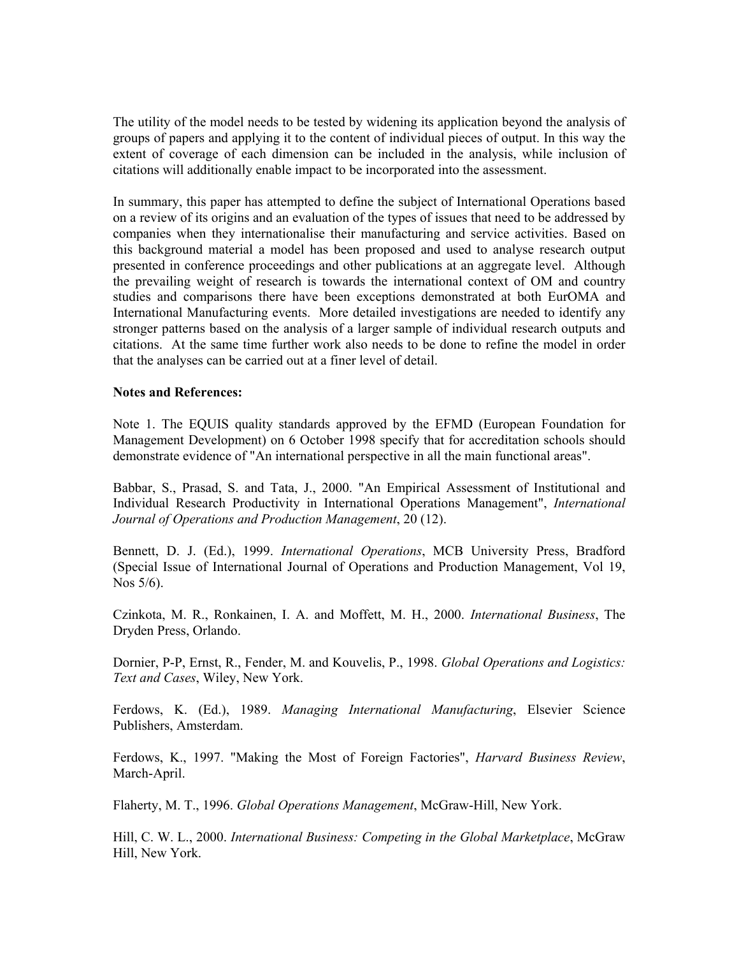The utility of the model needs to be tested by widening its application beyond the analysis of groups of papers and applying it to the content of individual pieces of output. In this way the extent of coverage of each dimension can be included in the analysis, while inclusion of citations will additionally enable impact to be incorporated into the assessment.

In summary, this paper has attempted to define the subject of International Operations based on a review of its origins and an evaluation of the types of issues that need to be addressed by companies when they internationalise their manufacturing and service activities. Based on this background material a model has been proposed and used to analyse research output presented in conference proceedings and other publications at an aggregate level. Although the prevailing weight of research is towards the international context of OM and country studies and comparisons there have been exceptions demonstrated at both EurOMA and International Manufacturing events. More detailed investigations are needed to identify any stronger patterns based on the analysis of a larger sample of individual research outputs and citations. At the same time further work also needs to be done to refine the model in order that the analyses can be carried out at a finer level of detail.

#### **Notes and References:**

Note 1. The EQUIS quality standards approved by the EFMD (European Foundation for Management Development) on 6 October 1998 specify that for accreditation schools should demonstrate evidence of "An international perspective in all the main functional areas".

Babbar, S., Prasad, S. and Tata, J., 2000. "An Empirical Assessment of Institutional and Individual Research Productivity in International Operations Management", *International Journal of Operations and Production Management*, 20 (12).

Bennett, D. J. (Ed.), 1999. *International Operations*, MCB University Press, Bradford (Special Issue of International Journal of Operations and Production Management, Vol 19, Nos 5/6).

Czinkota, M. R., Ronkainen, I. A. and Moffett, M. H., 2000. *International Business*, The Dryden Press, Orlando.

Dornier, P-P, Ernst, R., Fender, M. and Kouvelis, P., 1998. *Global Operations and Logistics: Text and Cases*, Wiley, New York.

Ferdows, K. (Ed.), 1989. *Managing International Manufacturing*, Elsevier Science Publishers, Amsterdam.

Ferdows, K., 1997. "Making the Most of Foreign Factories", *Harvard Business Review*, March-April.

Flaherty, M. T., 1996. *Global Operations Management*, McGraw-Hill, New York.

Hill, C. W. L., 2000. *International Business: Competing in the Global Marketplace*, McGraw Hill, New York.